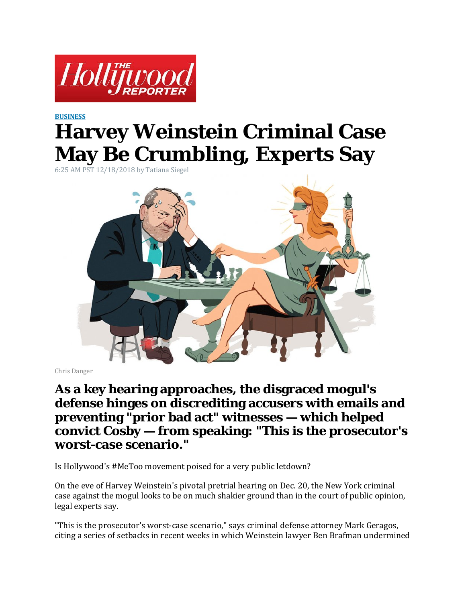

## **[BUSINESS](https://www.hollywoodreporter.com/business) Harvey Weinstein Criminal Case May Be Crumbling, Experts Say**

6:25 AM PST 12/18/2018 by Tatiana Siegel



Chris Danger

## **As a key hearing approaches, the disgraced mogul's defense hinges on discrediting accusers with emails and preventing "prior bad act" witnesses — which helped convict Cosby — from speaking: "This is the prosecutor's worst-case scenario."**

Is Hollywood's #MeToo movement poised for a very public letdown?

On the eve of Harvey Weinstein's pivotal pretrial hearing on Dec. 20, the New York criminal case against the mogul looks to be on much shakier ground than in the court of public opinion, legal experts say.

"This is the prosecutor's worst-case scenario," says criminal defense attorney Mark Geragos, citing a series of setbacks in recent weeks in which Weinstein lawyer Ben Brafman undermined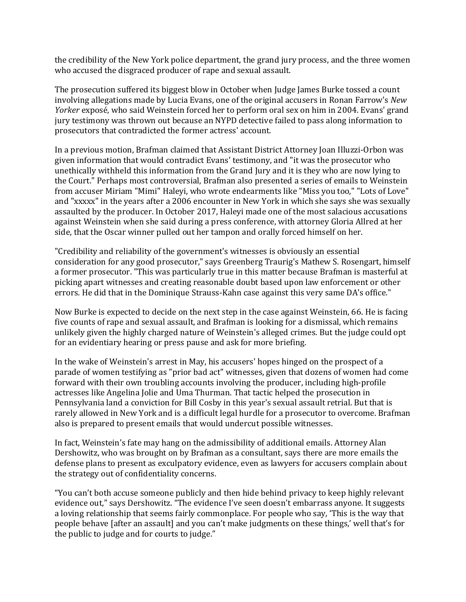the credibility of the New York police department, the grand jury process, and the three women who accused the disgraced producer of rape and sexual assault.

The prosecution suffered its biggest blow in October when Judge James Burke tossed a count involving allegations made by Lucia Evans, one of the original accusers in Ronan Farrow's *New Yorker* exposé, who said Weinstein forced her to perform oral sex on him in 2004. Evans' grand jury testimony was thrown out because an NYPD detective failed to pass along information to prosecutors that contradicted the former actress' account.

In a previous motion, Brafman claimed that Assistant District Attorney Joan Illuzzi-Orbon was given information that would contradict Evans' testimony, and "it was the prosecutor who unethically withheld this information from the Grand Jury and it is they who are now lying to the Court." Perhaps most controversial, Brafman also presented a series of emails to Weinstein from accuser Miriam "Mimi" Haleyi, who wrote endearments like "Miss you too," "Lots of Love" and "xxxxx" in the years after a 2006 encounter in New York in which she says she was sexually assaulted by the producer. In October 2017, Haleyi made one of the most salacious accusations against Weinstein when she said during a press conference, with attorney Gloria Allred at her side, that the Oscar winner pulled out her tampon and orally forced himself on her.

"Credibility and reliability of the government's witnesses is obviously an essential consideration for any good prosecutor," says Greenberg Traurig's Mathew S. Rosengart, himself a former prosecutor. "This was particularly true in this matter because Brafman is masterful at picking apart witnesses and creating reasonable doubt based upon law enforcement or other errors. He did that in the Dominique Strauss-Kahn case against this very same DA's office."

Now Burke is expected to decide on the next step in the case against Weinstein, 66. He is facing five counts of rape and sexual assault, and Brafman is looking for a dismissal, which remains unlikely given the highly charged nature of Weinstein's alleged crimes. But the judge could opt for an evidentiary hearing or press pause and ask for more briefing.

In the wake of Weinstein's arrest in May, his accusers' hopes hinged on the prospect of a parade of women testifying as "prior bad act" witnesses, given that dozens of women had come forward with their own troubling accounts involving the producer, including high-profile actresses like Angelina Jolie and Uma Thurman. That tactic helped the prosecution in Pennsylvania land a conviction for Bill Cosby in this year's sexual assault retrial. But that is rarely allowed in New York and is a difficult legal hurdle for a prosecutor to overcome. Brafman also is prepared to present emails that would undercut possible witnesses.

In fact, Weinstein's fate may hang on the admissibility of additional emails. Attorney Alan Dershowitz, who was brought on by Brafman as a consultant, says there are more emails the defense plans to present as exculpatory evidence, even as lawyers for accusers complain about the strategy out of confidentiality concerns.

"You can't both accuse someone publicly and then hide behind privacy to keep highly relevant evidence out," says Dershowitz. "The evidence I've seen doesn't embarrass anyone. It suggests a loving relationship that seems fairly commonplace. For people who say, 'This is the way that people behave [after an assault] and you can't make judgments on these things,' well that's for the public to judge and for courts to judge."